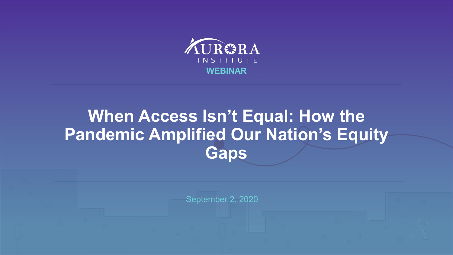

## **When Access Isn't Equal: How the Pandemic Amplified Our Nation's Equity Gaps**

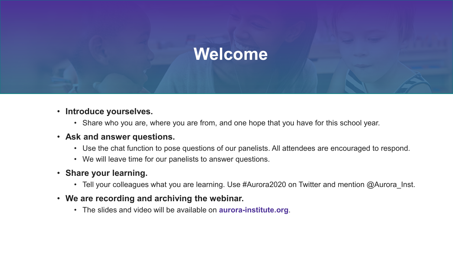## **Welcome**

- **Introduce yourselves.** 
	- Share who you are, where you are from, and one hope that you have for this school year.
- **Ask and answer questions.**
	- Use the chat function to pose questions of our panelists. All attendees are encouraged to respond.
	- We will leave time for our panelists to answer questions.
- **Share your learning.**
	- Tell your colleagues what you are learning. Use #Aurora2020 on Twitter and mention @Aurora lnst.
- **We are recording and archiving the webinar.**
	- The slides and video will be available on **aurora-institute.org**.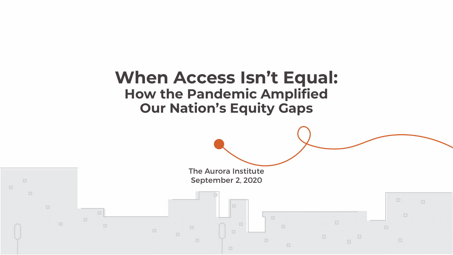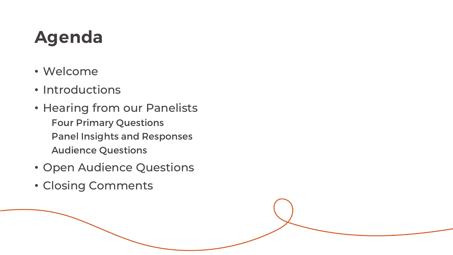## **Agenda**

- Welcome
- Introductions
- Hearing from our Panelists Four Primary Questions Panel Insights and Responses Audience Questions
- Open Audience Questions
- Closing Comments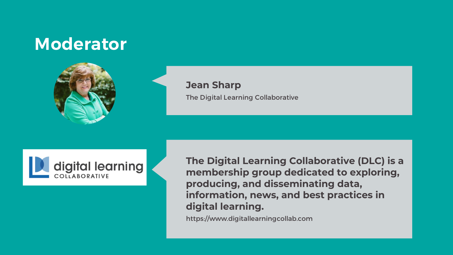## **Moderator**



#### **Jean Sharp** The Digital Learning Collaborative



**The Digital Learning Collaborative (DLC) is a membership group dedicated to exploring, producing, and disseminating data, information, news, and best practices in digital learning.**

https://www.digitallearningcollab.com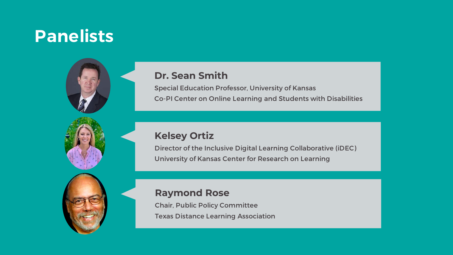## **Panelists**



Special Education Professor, University of Kansas Co-PI Center on Online Learning and Students with Disabilities

#### **Kelsey Ortiz**

Director of the Inclusive Digital Learning Collaborative (iDEC) University of Kansas Center for Research on Learning

#### **Raymond Rose**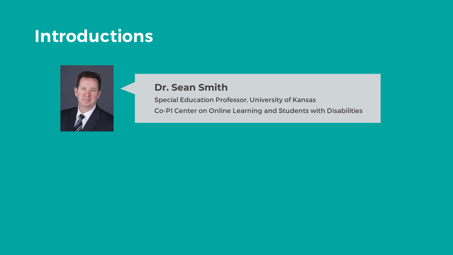## **Introductions**



#### **Dr. Sean Smith**

Special Education Professor, University of Kansas

Co-PI Center on Online Learning and Students with Disabilities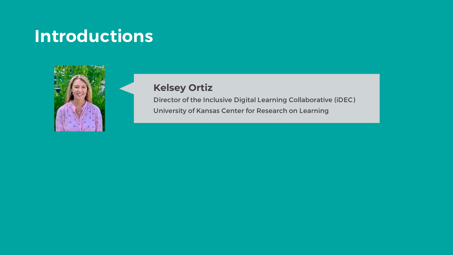## **Introductions**



#### **Kelsey Ortiz**

Director of the Inclusive Digital Learning Collaborative (iDEC)

University of Kansas Center for Research on Learning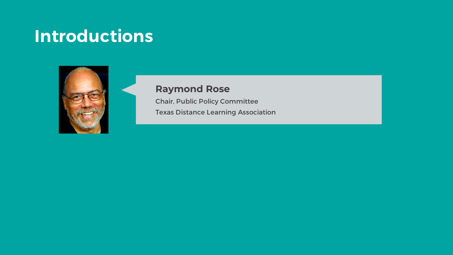## **Introductions**



#### **Raymond Rose**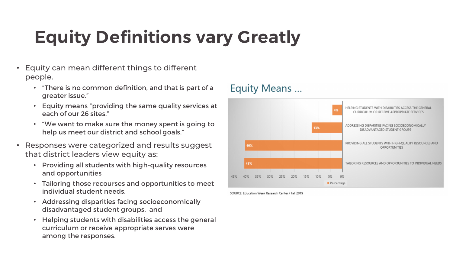## **Equity Definitions vary Greatly**

- Equity can mean different things to different people.
	- "There is no common definition, and that is part of a greater issue."
	- Equity means "providing the same quality services at each of our 26 sites."
	- "We want to make sure the money spent is going to help us meet our district and school goals."
- Responses were categorized and results suggest that district leaders view equity as:
	- Providing all students with high-quality resources and opportunities
	- Tailoring those recourses and opportunities to meet individual student needs.
	- Addressing disparities facing socioeconomically disadvantaged student groups, and
	- Helping students with disabilities access the general curriculum or receive appropriate serves were among the responses.

#### Equity Means ...



SOURCE: Education Week Research Center / Fall 2019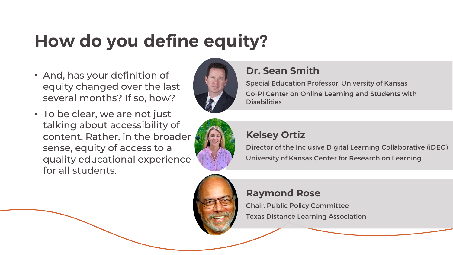## **How do you define equity?**

- And, has your definition of equity changed over the last several months? If so, how?
- To be clear, we are not just talking about accessibility of content. Rather, in the broader sense, equity of access to a quality educational experience for all students.





#### **Dr. Sean Smith**

Special Education Professor, University of Kansas Co-PI Center on Online Learning and Students with **Disabilities** 



### **Kelsey Ortiz**

Director of the Inclusive Digital Learning Collaborative (iDEC) University of Kansas Center for Research on Learning

### **Raymond Rose**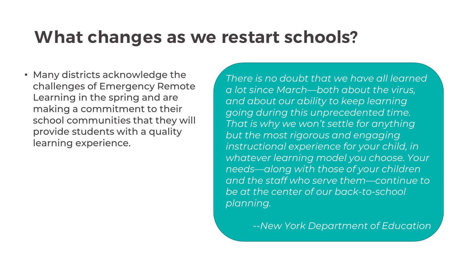## **What changes as we restart schools?**

• Many districts acknowledge the challenges of Emergency Remote Learning in the spring and are making a commitment to their school communities that they will provide students with a quality learning experience.

*There is no doubt that we have all learned a lot since March—both about the virus, and about our ability to keep learning going during this unprecedented time. That is why we won't settle for anything but the most rigorous and engaging instructional experience for your child, in whatever learning model you choose. Your needs—along with those of your children and the staff who serve them—continue to be at the center of our back-to-school planning.* 

*--New York Department of Education*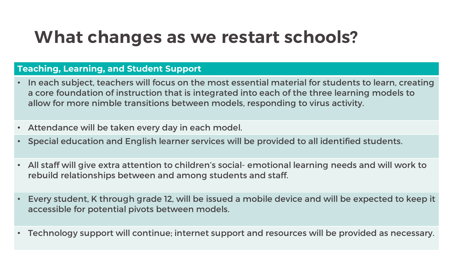## **What changes as we restart schools?**

#### **Teaching, Learning, and Student Support**

- In each subject, teachers will focus on the most essential material for students to learn, creating a core foundation of instruction that is integrated into each of the three learning models to allow for more nimble transitions between models, responding to virus activity.
- Attendance will be taken every day in each model.
- Special education and English learner services will be provided to all identified students.
- All staff will give extra attention to children's social- emotional learning needs and will work to rebuild relationships between and among students and staff.
- Every student, K through grade 12, will be issued a mobile device and will be expected to keep it accessible for potential pivots between models.
- Technology support will continue; internet support and resources will be provided as necessary.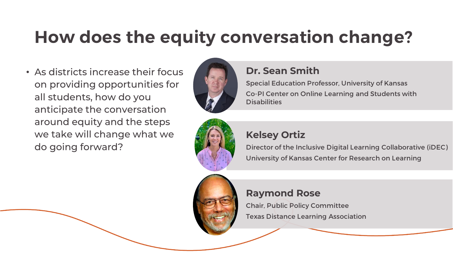## **How does the equity conversation change?**

• As districts increase their focus on providing opportunities for all students, how do you anticipate the conversation around equity and the steps we take will change what we do going forward?



#### **Dr. Sean Smith**

Special Education Professor, University of Kansas Co-PI Center on Online Learning and Students with **Disabilities** 



#### **Kelsey Ortiz**

Director of the Inclusive Digital Learning Collaborative (iDEC) University of Kansas Center for Research on Learning



#### **Raymond Rose**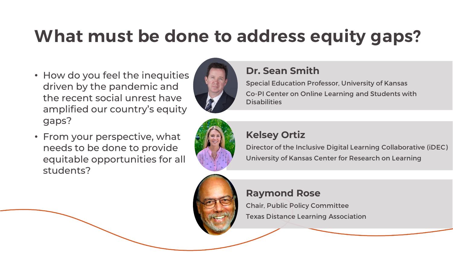## **What must be done to address equity gaps?**

- How do you feel the inequities driven by the pandemic and the recent social unrest have amplified our country's equity gaps?
- From your perspective, what needs to be done to provide equitable opportunities for all students?



#### **Dr. Sean Smith**

Special Education Professor, University of Kansas Co-PI Center on Online Learning and Students with **Disabilities** 



#### **Kelsey Ortiz**

Director of the Inclusive Digital Learning Collaborative (iDEC) University of Kansas Center for Research on Learning

#### **Raymond Rose**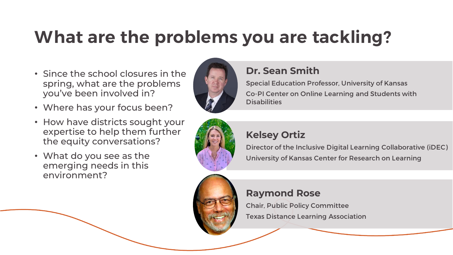## **What are the problems you are tackling?**

- Since the school closures in the spring, what are the problems you've been involved in?
- Where has your focus been?
- How have districts sought your expertise to help them further the equity conversations?
- What do you see as the emerging needs in this environment?



### **Dr. Sean Smith**

Special Education Professor, University of Kansas Co-PI Center on Online Learning and Students with **Disabilities** 



#### **Kelsey Ortiz**

Director of the Inclusive Digital Learning Collaborative (iDEC) University of Kansas Center for Research on Learning



#### **Raymond Rose**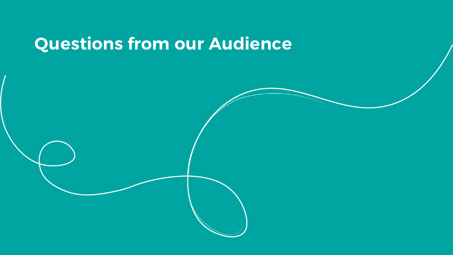## **Questions from our Audience**

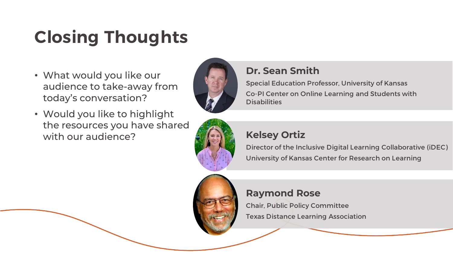## **Closing Thoughts**

- What would you like our audience to take-away from today's conversation?
- Would you like to highlight the resources you have shared with our audience? **Kelsey Ortiz**



### **Dr. Sean Smith**

Special Education Professor, University of Kansas Co-PI Center on Online Learning and Students with **Disabilities** 



Director of the Inclusive Digital Learning Collaborative (iDEC) University of Kansas Center for Research on Learning



#### **Raymond Rose**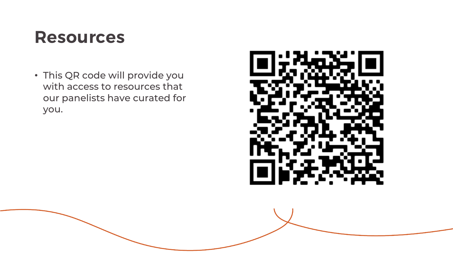## **Resources**

• This QR code will provide you with access to resources that our panelists have curated for you.

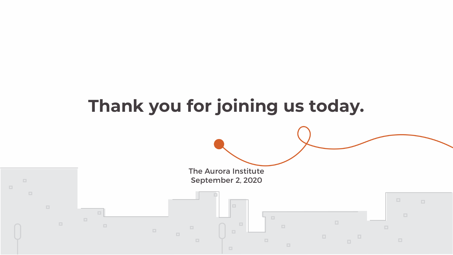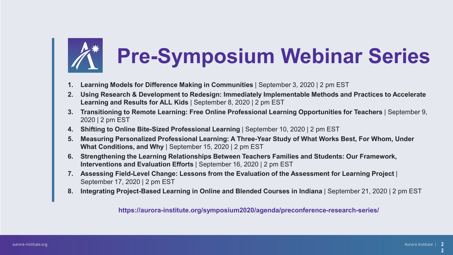# **Pre-Symposium Webinar Series**

- **1. Learning Models for Difference Making in Communities** | September 3, 2020 | 2 pm EST
- **2. Using Research & Development to Redesign: Immediately Implementable Methods and Practices to Accelerate Learning and Results for ALL Kids** | September 8, 2020 | 2 pm EST
- **3. Transitioning to Remote Learning: Free Online Professional Learning Opportunities for Teachers** | September 9, 2020 | 2 pm EST
- **4. Shifting to Online Bite-Sized Professional Learning** | September 10, 2020 | 2 pm EST
- **5. Measuring Personalized Professional Learning: A Three-Year Study of What Works Best, For Whom, Under What Conditions, and Why** | September 15, 2020 | 2 pm EST
- **6. Strengthening the Learning Relationships Between Teachers Families and Students: Our Framework, Interventions and Evaluation Efforts** | September 16, 2020 | 2 pm EST
- **7. Assessing Field-Level Change: Lessons from the Evaluation of the Assessment for Learning Project** | September 17, 2020 | 2 pm EST
- **8. Integrating Project-Based Learning in Online and Blended Courses in Indiana** | September 21, 2020 | 2 pm EST

**https://aurora-institute.org/symposium2020/agenda/preconference-research-series/**

**2**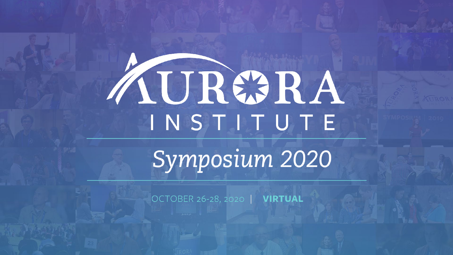# AURERA INSTITUTE

Symposium 2020

OCTOBER 26-28, 2020 | VIRTUAL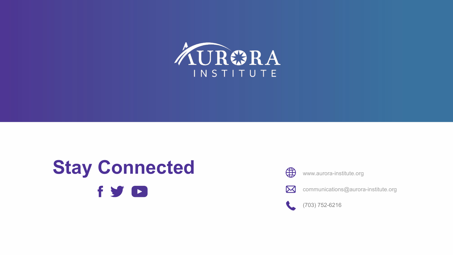

## **Stay Connected fy D**



www.aurora-institute.org



communications@aurora-institute.org



(703) 752-6216